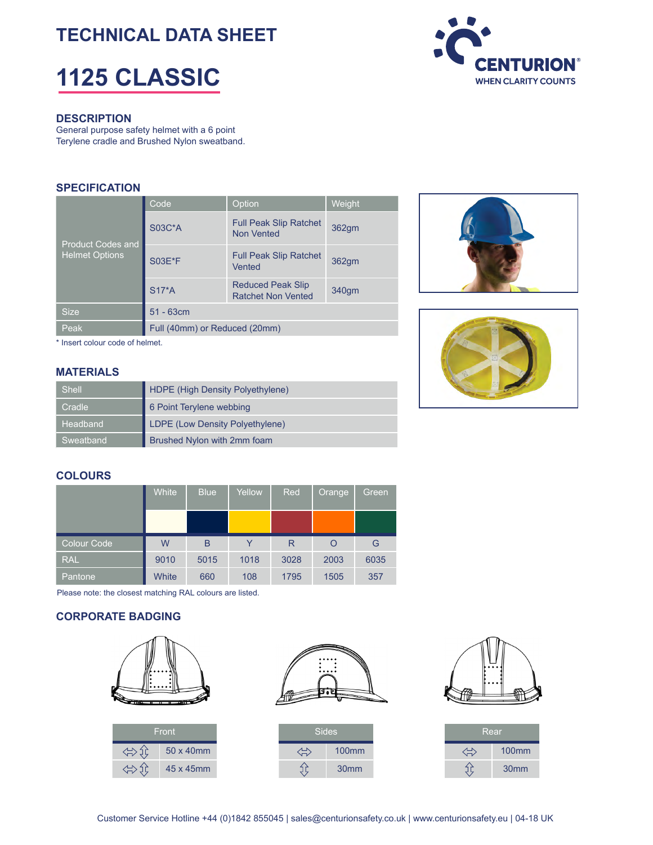# **TECHNICAL DATA SHEET**

# **1125 CLASSIC**



#### **DESCRIPTION**

General purpose safety helmet with a 6 point Terylene cradle and Brushed Nylon sweatband.

#### **SPECIFICATION**

| <b>Product Codes and</b><br><b>Helmet Options</b> | Code                          | Option                                                | <b>Weight</b> |  |  |  |
|---------------------------------------------------|-------------------------------|-------------------------------------------------------|---------------|--|--|--|
|                                                   | <b>S03C*A</b>                 | <b>Full Peak Slip Ratchet</b><br><b>Non Vented</b>    | 362gm         |  |  |  |
|                                                   | <b>S03E*F</b>                 | <b>Full Peak Slip Ratchet</b><br>Vented               | 362gm         |  |  |  |
|                                                   | $S17*A$                       | <b>Reduced Peak Slip</b><br><b>Ratchet Non Vented</b> | 340gm         |  |  |  |
| <b>Size</b>                                       | $51 - 63cm$                   |                                                       |               |  |  |  |
| Peak                                              | Full (40mm) or Reduced (20mm) |                                                       |               |  |  |  |





\* Insert colour code of helmet.

#### **MATERIALS**

| <b>Shell</b> | HDPE (High Density Polyethylene) |
|--------------|----------------------------------|
| Cradle       | 6 Point Terylene webbing         |
| Headband     | LDPE (Low Density Polyethylene)  |
| Sweatband    | Brushed Nylon with 2mm foam      |

#### **COLOURS**

|             | <b>White</b> | <b>Blue</b> | Yellow | Red  | <b>Orange</b> | Green, |
|-------------|--------------|-------------|--------|------|---------------|--------|
|             |              |             |        |      |               |        |
| Colour Code | W            | B           |        | R    |               | G      |
| <b>RAL</b>  | 9010         | 5015        | 1018   | 3028 | 2003          | 6035   |
| Pantone,    | White        | 660         | 108    | 1795 | 1505          | 357    |

Please note: the closest matching RAL colours are listed.

#### **CORPORATE BADGING**



⇔€

45 x 45mm



| Sides |                  |
|-------|------------------|
|       | <b>100mm</b>     |
|       | 30 <sub>mm</sub> |



| Rear |                   |  |  |  |  |
|------|-------------------|--|--|--|--|
|      | 100 <sub>mm</sub> |  |  |  |  |
|      | 30 <sub>mm</sub>  |  |  |  |  |